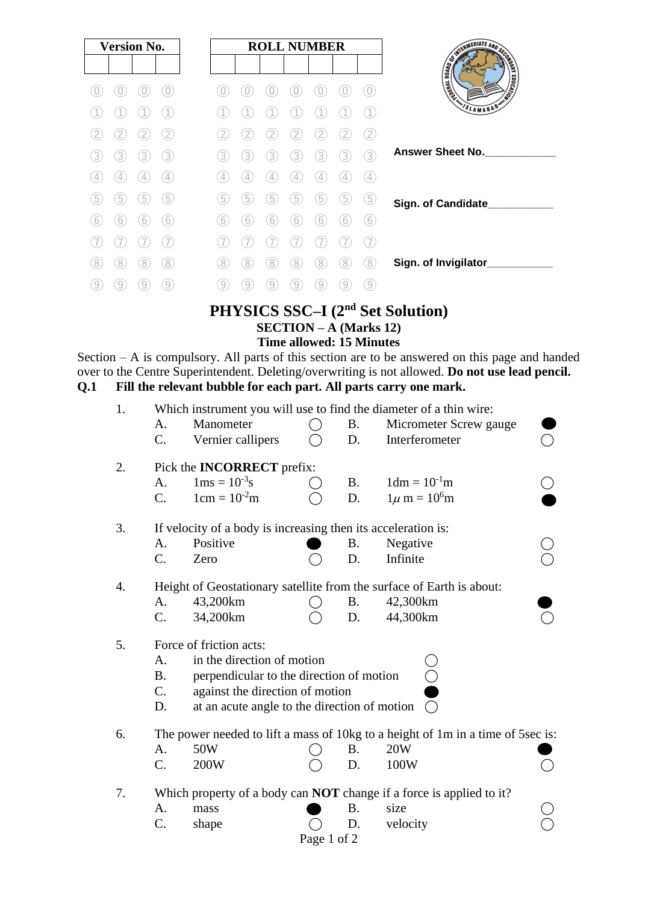| <b>Version No.</b> |             |   |                   |
|--------------------|-------------|---|-------------------|
|                    |             |   |                   |
|                    |             |   |                   |
|                    |             |   |                   |
|                    |             |   |                   |
| 3                  | 3           | 3 | 3                 |
| 4                  | 4           | 4 | $\left( 4\right)$ |
| 5                  | $\boxed{5}$ | 5 | 5                 |
| 6                  | 6           | 6 | 6                 |
|                    |             |   |                   |
| 8                  | 8           | 8 | (8)               |
|                    |             |   | 9                 |

# **PHYSICS SSC–I (2nd Set Solution) SECTION – A (Marks 12) Time allowed: 15 Minutes**

Section – A is compulsory. All parts of this section are to be answered on this page and handed over to the Centre Superintendent. Deleting/overwriting is not allowed. **Do not use lead pencil. Q.1 Fill the relevant bubble for each part. All parts carry one mark.**

| 1. | A.<br>C.                    | Manometer<br>Vernier callipers                                                                                                                                                       |             | <b>B.</b><br>D. | Which instrument you will use to find the diameter of a thin wire:<br>Micrometer Screw gauge<br>Interferometer |  |  |  |  |
|----|-----------------------------|--------------------------------------------------------------------------------------------------------------------------------------------------------------------------------------|-------------|-----------------|----------------------------------------------------------------------------------------------------------------|--|--|--|--|
| 2. | A.<br>C.                    | Pick the <b>INCORRECT</b> prefix:<br>$1 \text{ms} = 10^{-3} \text{s}$<br>$1cm = 10-2m$                                                                                               |             | <b>B.</b><br>D. | $1dm = 10-1m$<br>$1\mu$ m = $10^6$ m                                                                           |  |  |  |  |
| 3. | A.<br>$C$ .                 | If velocity of a body is increasing then its acceleration is:<br>Positive<br>Zero                                                                                                    |             | <b>B.</b><br>D. | Negative<br>Infinite                                                                                           |  |  |  |  |
| 4. | A.<br>C.                    | 43,200km<br>34,200km                                                                                                                                                                 |             | <b>B.</b><br>D. | Height of Geostationary satellite from the surface of Earth is about:<br>42,300km<br>44,300km                  |  |  |  |  |
| 5. | A.<br><b>B.</b><br>C.<br>D. | Force of friction acts:<br>in the direction of motion<br>perpendicular to the direction of motion<br>against the direction of motion<br>at an acute angle to the direction of motion |             |                 |                                                                                                                |  |  |  |  |
| 6. | A.<br>C.                    | 50W<br>200W                                                                                                                                                                          |             | <b>B.</b><br>D. | The power needed to lift a mass of 10kg to a height of 1m in a time of 5sec is:<br>20W<br>100W                 |  |  |  |  |
| 7. | A.<br>C.                    | mass<br>shape                                                                                                                                                                        | Page 1 of 2 | <b>B.</b><br>D. | Which property of a body can <b>NOT</b> change if a force is applied to it?<br>size<br>velocity                |  |  |  |  |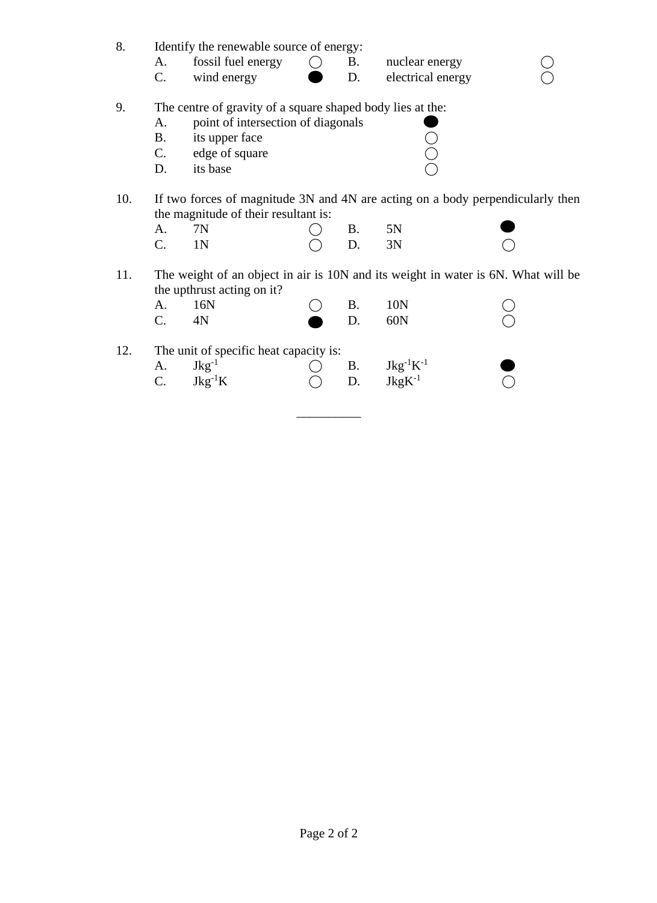| 8.  | Identify the renewable source of energy:                                          |                    |                 |           |                                                                     |  |  |  |  |  |  |
|-----|-----------------------------------------------------------------------------------|--------------------|-----------------|-----------|---------------------------------------------------------------------|--|--|--|--|--|--|
|     | A.                                                                                | fossil fuel energy | $\left(\right)$ | <b>B.</b> | nuclear energy                                                      |  |  |  |  |  |  |
|     | $C_{\cdot}$                                                                       | wind energy        |                 | D.        | electrical energy                                                   |  |  |  |  |  |  |
| 9.  | The centre of gravity of a square shaped body lies at the:                        |                    |                 |           |                                                                     |  |  |  |  |  |  |
|     | point of intersection of diagonals<br>A.                                          |                    |                 |           |                                                                     |  |  |  |  |  |  |
|     | <b>B.</b>                                                                         | its upper face     |                 |           |                                                                     |  |  |  |  |  |  |
|     | C.                                                                                | edge of square     |                 |           |                                                                     |  |  |  |  |  |  |
|     | D.                                                                                | its base           |                 |           |                                                                     |  |  |  |  |  |  |
|     |                                                                                   |                    |                 |           |                                                                     |  |  |  |  |  |  |
| 10. | If two forces of magnitude 3N and 4N are acting on a body perpendicularly then    |                    |                 |           |                                                                     |  |  |  |  |  |  |
|     | the magnitude of their resultant is:                                              |                    |                 |           |                                                                     |  |  |  |  |  |  |
|     | A.                                                                                | 7N                 |                 | <b>B.</b> | 5N                                                                  |  |  |  |  |  |  |
|     | C.                                                                                | 1 <sub>N</sub>     |                 | D.        | 3N                                                                  |  |  |  |  |  |  |
| 11. | The weight of an object in air is 10N and its weight in water is 6N. What will be |                    |                 |           |                                                                     |  |  |  |  |  |  |
|     | the upthrust acting on it?                                                        |                    |                 |           |                                                                     |  |  |  |  |  |  |
|     | A.                                                                                | 16N                |                 | <b>B.</b> | 10N                                                                 |  |  |  |  |  |  |
|     | C.                                                                                | 4N                 |                 | D.        | 60N                                                                 |  |  |  |  |  |  |
|     |                                                                                   |                    |                 |           |                                                                     |  |  |  |  |  |  |
| 12. | The unit of specific heat capacity is:                                            |                    |                 |           |                                                                     |  |  |  |  |  |  |
|     | A.                                                                                | $Jkg^{-1}$         |                 | <b>B.</b> |                                                                     |  |  |  |  |  |  |
|     | $C_{\cdot}$                                                                       | $Jkg^{-1}K$        |                 | D.        | $\begin{array}{l} \rm{Jkg^{-1}K^{-1}}\\ \rm{JkgK^{-1}} \end{array}$ |  |  |  |  |  |  |
|     |                                                                                   |                    |                 |           |                                                                     |  |  |  |  |  |  |

\_\_\_\_\_\_\_\_\_\_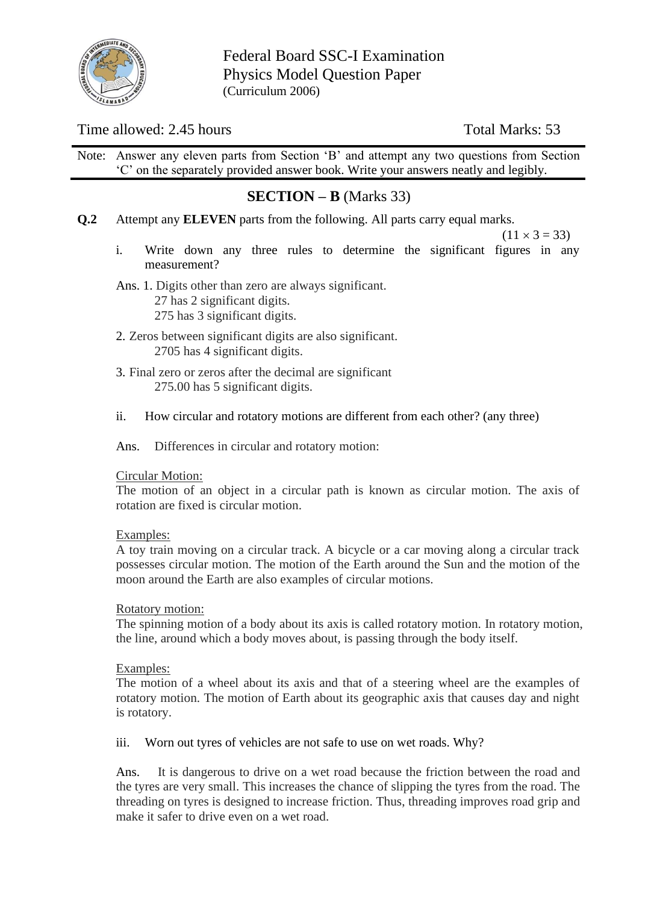

Federal Board SSC-I Examination Physics Model Question Paper (Curriculum 2006)

# Time allowed: 2.45 hours Total Marks: 53

Note: Answer any eleven parts from Section 'B' and attempt any two questions from Section 'C' on the separately provided answer book. Write your answers neatly and legibly.

# **SECTION – B** (Marks 33)

**Q.2** Attempt any **ELEVEN** parts from the following. All parts carry equal marks.

 $(11 \times 3 = 33)$ 

- i. Write down any three rules to determine the significant figures in any measurement?
- Ans. 1. Digits other than zero are always significant. 27 has 2 significant digits. 275 has 3 significant digits.
- 2. Zeros between significant digits are also significant. 2705 has 4 significant digits.
- 3. Final zero or zeros after the decimal are significant 275.00 has 5 significant digits.
- ii. How circular and rotatory motions are different from each other? (any three)
- Ans. Differences in circular and rotatory motion:

#### Circular Motion:

The motion of an object in a circular path is known as circular motion. The axis of rotation are fixed is circular motion.

#### Examples:

A toy train moving on a circular track. A bicycle or a car moving along a circular track possesses circular motion. The motion of the Earth around the Sun and the motion of the moon around the Earth are also examples of circular motions.

#### Rotatory motion:

The spinning motion of a body about its axis is called rotatory motion. In rotatory motion, the line, around which a body moves about, is passing through the body itself.

#### Examples:

The motion of a wheel about its axis and that of a steering wheel are the examples of rotatory motion. The motion of Earth about its geographic axis that causes day and night is rotatory.

iii. Worn out tyres of vehicles are not safe to use on wet roads. Why?

Ans. It is dangerous to drive on a wet road because the friction between the road and the tyres are very small. This increases the chance of slipping the tyres from the road. The threading on tyres is designed to increase friction. Thus, threading improves road grip and make it safer to drive even on a wet road.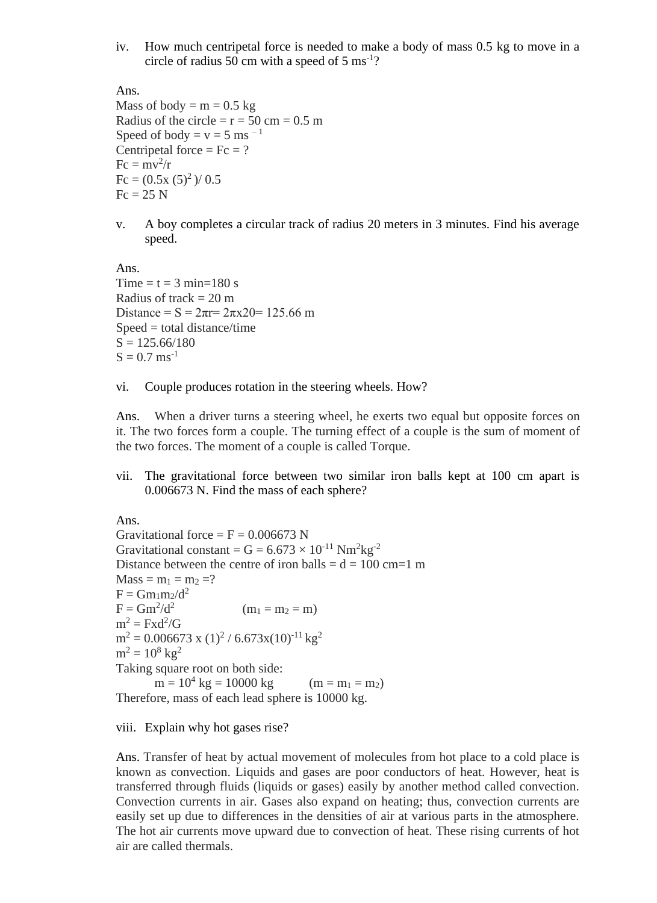iv. How much centripetal force is needed to make a body of mass 0.5 kg to move in a circle of radius 50 cm with a speed of 5  $\text{ms}^{\text{-}1}$ ?

Ans.

Mass of body =  $m = 0.5$  kg Radius of the circle  $= r = 50$  cm  $= 0.5$  m Speed of body =  $v = 5$  ms<sup>-1</sup> Centripetal force =  $Fc = ?$  $Fc = mv^2/r$  $Fc = (0.5x (5)^{2})/0.5$  $Fc = 25 N$ 

v. A boy completes a circular track of radius 20 meters in 3 minutes. Find his average speed.

Ans. Time  $=$  t  $=$  3 min=180 s Radius of track  $= 20$  m Distance =  $S = 2\pi r = 2\pi x 20 = 125.66$  m  $Speed = total distance/time$  $S = 125.66/180$  $S = 0.7$  ms<sup>-1</sup>

vi. Couple produces rotation in the steering wheels. How?

Ans. When a driver turns a steering wheel, he exerts two equal but opposite forces on it. The two forces form a couple. The turning effect of a couple is the sum of moment of the two forces. The moment of a couple is called Torque.

vii. The gravitational force between two similar iron balls kept at 100 cm apart is 0.006673 N. Find the mass of each sphere?

Ans.

Gravitational force =  $F = 0.006673$  N Gravitational constant =  $G = 6.673 \times 10^{-11}$  Nm<sup>2</sup>kg<sup>-2</sup> Distance between the centre of iron balls  $= d = 100$  cm=1 m  $Mass = m_1 = m_2 = ?$  $F = Gm_1m_2/d^2$  $F = Gm^2/d^2$  $(m_1 = m_2 = m)$  $m^2 = Fxd^2/G$  $m^2 = 0.006673$  x  $(1)^2 / 6.673$ x $(10)^{-11}$  kg<sup>2</sup>  $m^2 = 10^8$  kg<sup>2</sup> Taking square root on both side:  $m = 10<sup>4</sup> kg = 10000 kg$  (m = m<sub>1</sub> = m<sub>2</sub>) Therefore, mass of each lead sphere is 10000 kg.

viii. Explain why hot gases rise?

Ans. Transfer of heat by actual movement of molecules from hot place to a cold place is known as convection. Liquids and gases are poor conductors of heat. However, heat is transferred through fluids (liquids or gases) easily by another method called convection. Convection currents in air. Gases also expand on heating; thus, convection currents are easily set up due to differences in the densities of air at various parts in the atmosphere. The hot air currents move upward due to convection of heat. These rising currents of hot air are called thermals.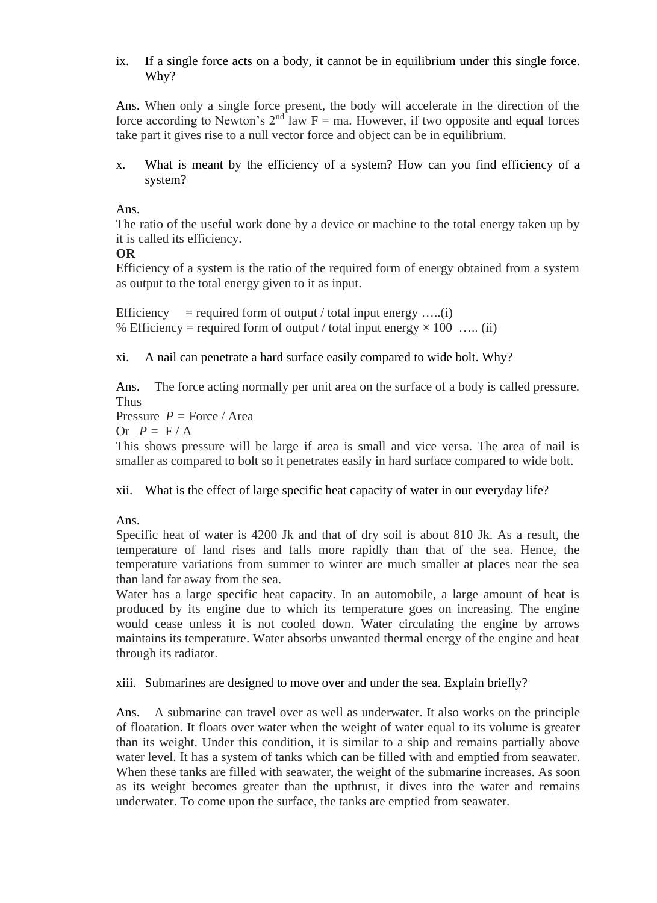ix. If a single force acts on a body, it cannot be in equilibrium under this single force. Why?

Ans. When only a single force present, the body will accelerate in the direction of the force according to Newton's  $2<sup>nd</sup>$  law F = ma. However, if two opposite and equal forces take part it gives rise to a null vector force and object can be in equilibrium.

x. What is meant by the efficiency of a system? How can you find efficiency of a system?

Ans.

The ratio of the useful work done by a device or machine to the total energy taken up by it is called its efficiency.

**OR**

Efficiency of a system is the ratio of the required form of energy obtained from a system as output to the total energy given to it as input.

Efficiency = required form of output / total input energy .....(i) % Efficiency = required form of output / total input energy  $\times$  100 … (ii)

xi. A nail can penetrate a hard surface easily compared to wide bolt. Why?

Ans. The force acting normally per unit area on the surface of a body is called pressure. Thus

Pressure  $P =$  Force / Area

Or  $P = F/A$ 

This shows pressure will be large if area is small and vice versa. The area of nail is smaller as compared to bolt so it penetrates easily in hard surface compared to wide bolt.

xii. What is the effect of large specific heat capacity of water in our everyday life?

#### Ans.

Specific heat of water is 4200 Jk and that of dry soil is about 810 Jk. As a result, the temperature of land rises and falls more rapidly than that of the sea. Hence, the temperature variations from summer to winter are much smaller at places near the sea than land far away from the sea.

Water has a large specific heat capacity. In an automobile, a large amount of heat is produced by its engine due to which its temperature goes on increasing. The engine would cease unless it is not cooled down. Water circulating the engine by arrows maintains its temperature. Water absorbs unwanted thermal energy of the engine and heat through its radiator.

#### xiii. Submarines are designed to move over and under the sea. Explain briefly?

Ans. A submarine can travel over as well as underwater. It also works on the principle of floatation. It floats over water when the weight of water equal to its volume is greater than its weight. Under this condition, it is similar to a ship and remains partially above water level. It has a system of tanks which can be filled with and emptied from seawater. When these tanks are filled with seawater, the weight of the submarine increases. As soon as its weight becomes greater than the upthrust, it dives into the water and remains underwater. To come upon the surface, the tanks are emptied from seawater.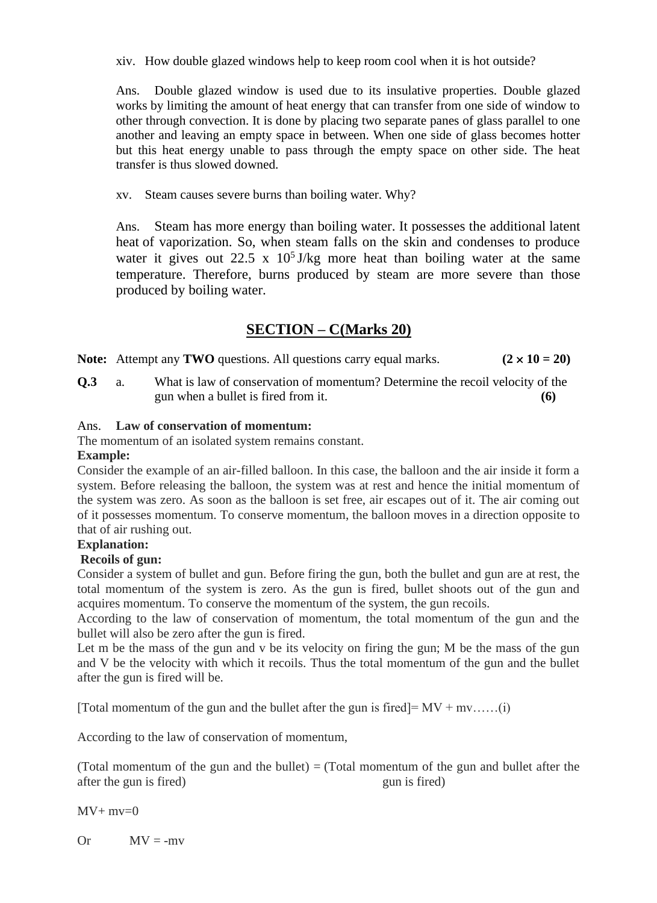xiv. How double glazed windows help to keep room cool when it is hot outside?

Ans. Double glazed window is used due to its insulative properties. Double glazed works by limiting the amount of heat energy that can transfer from one side of window to other through convection. It is done by placing two separate panes of glass parallel to one another and leaving an empty space in between. When one side of glass becomes hotter but this heat energy unable to pass through the empty space on other side. The heat transfer is thus slowed downed.

xv. Steam causes severe burns than boiling water. Why?

Ans. Steam has more energy than boiling water. It possesses the additional latent heat of vaporization. So, when steam falls on the skin and condenses to produce water it gives out 22.5 x  $10^5$  J/kg more heat than boiling water at the same temperature. Therefore, burns produced by steam are more severe than those produced by boiling water.

# **SECTION – C(Marks 20)**

**Note:** Attempt any **TWO** questions. All questions carry equal marks.  $(2 \times 10 = 20)$ 

**Q.3** a. What is law of conservation of momentum? Determine the recoil velocity of the gun when a bullet is fired from it. **(6)**

## Ans. **Law of conservation of momentum:**

The momentum of an isolated system remains constant.

## **Example:**

Consider the example of an air-filled balloon. In this case, the balloon and the air inside it form a system. Before releasing the balloon, the system was at rest and hence the initial momentum of the system was zero. As soon as the balloon is set free, air escapes out of it. The air coming out of it possesses momentum. To conserve momentum, the balloon moves in a direction opposite to that of air rushing out.

# **Explanation:**

# **Recoils of gun:**

Consider a system of bullet and gun. Before firing the gun, both the bullet and gun are at rest, the total momentum of the system is zero. As the gun is fired, bullet shoots out of the gun and acquires momentum. To conserve the momentum of the system, the gun recoils.

According to the law of conservation of momentum, the total momentum of the gun and the bullet will also be zero after the gun is fired.

Let m be the mass of the gun and v be its velocity on firing the gun; M be the mass of the gun and V be the velocity with which it recoils. Thus the total momentum of the gun and the bullet after the gun is fired will be.

[Total momentum of the gun and the bullet after the gun is fired]=  $MV + mv$ ......(i)

According to the law of conservation of momentum,

(Total momentum of the gun and the bullet)  $=$  (Total momentum of the gun and bullet after the after the gun is fired) gun is fired

 $MV+ mv=0$ 

Or  $MV = -mv$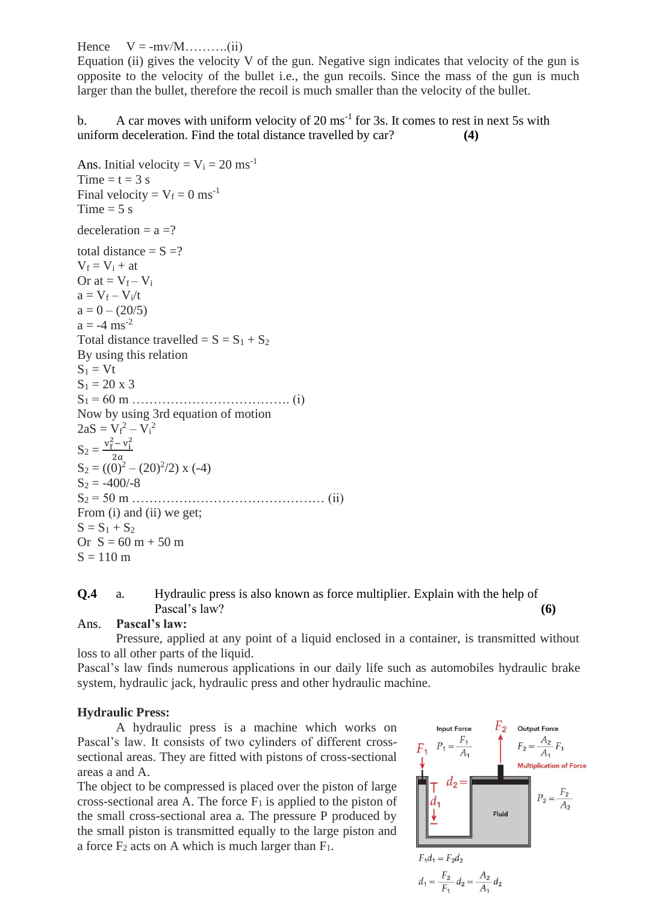Hence  $V = -mv/M$ ..........(ii)

Equation (ii) gives the velocity  $V$  of the gun. Negative sign indicates that velocity of the gun is opposite to the velocity of the bullet i.e., the gun recoils. Since the mass of the gun is much larger than the bullet, therefore the recoil is much smaller than the velocity of the bullet.

b. A car moves with uniform velocity of  $20 \text{ ms}^{-1}$  for 3s. It comes to rest in next 5s with uniform deceleration. Find the total distance travelled by car? **(4)**

```
Ans. Initial velocity = V_i = 20 ms<sup>-1</sup>
Time = t = 3 s
Final velocity = V_f = 0 ms<sup>-1</sup>
Time = 5 s
deceleration = a = ?total distance = S = ?V_f = V_i + atOr at = V_f - V_ia = V_f - V_i/ta = 0 - (20/5)a = -4 ms<sup>-2</sup>
Total distance travelled = S = S_1 + S_2By using this relation
S_1 = VtS_1 = 20 \times 3S1 = 60 m ………………………………. (i)
Now by using 3rd equation of motion
2aS = V_f^2 - V_i^2S_2 = \frac{v_f^2 - v_i^2}{25}2aS_2 = ((0)^2 - (20)^2/2) \times (-4)S_2 = -400/-8S2 = 50 m ……………………………………… (ii)
From (i) and (ii) we get;
S = S_1 + S_2Or S = 60 m + 50 mS = 110 \text{ m}
```
## **Q.4** a. Hydraulic press is also known as force multiplier. Explain with the help of Pascal's law? **(6)**

#### Ans. **Pascal's law:**

Pressure, applied at any point of a liquid enclosed in a container, is transmitted without loss to all other parts of the liquid.

Pascal's law finds numerous applications in our daily life such as automobiles hydraulic brake system, hydraulic jack, hydraulic press and other hydraulic machine.

## **Hydraulic Press:**

A hydraulic press is a machine which works on Pascal's law. It consists of two cylinders of different crosssectional areas. They are fitted with pistons of cross-sectional areas a and A.

The object to be compressed is placed over the piston of large cross-sectional area A. The force  $F_1$  is applied to the piston of the small cross-sectional area a. The pressure P produced by the small piston is transmitted equally to the large piston and a force  $F_2$  acts on A which is much larger than  $F_1$ .

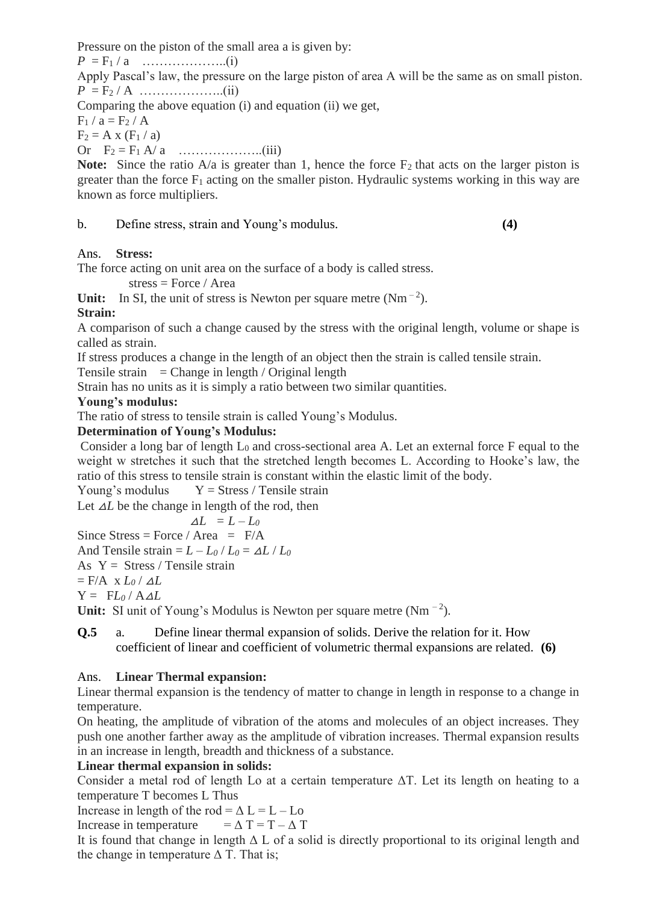Pressure on the piston of the small area a is given by:

 $P = F_1 / a$  ………………...(i)

Apply Pascal's law, the pressure on the large piston of area A will be the same as on small piston. *P* = F<sup>2</sup> / A ………………..(ii)

Comparing the above equation (i) and equation (ii) we get,

 $F_1 / a = F_2 / A$ 

 $F_2 = A x (F_1 / a)$ 

Or F<sup>2</sup> = F<sup>1</sup> A/ a ………………..(iii)

**Note:** Since the ratio  $A/a$  is greater than 1, hence the force  $F_2$  that acts on the larger piston is greater than the force  $F_1$  acting on the smaller piston. Hydraulic systems working in this way are known as force multipliers.

b. Define stress, strain and Young's modulus. **(4)**

## Ans. **Stress:**

The force acting on unit area on the surface of a body is called stress.

stress = Force / Area

Unit: In SI, the unit of stress is Newton per square metre  $(Nm^{-2})$ .

# **Strain:**

A comparison of such a change caused by the stress with the original length, volume or shape is called as strain.

If stress produces a change in the length of an object then the strain is called tensile strain.

Tensile strain  $=$  Change in length / Original length

Strain has no units as it is simply a ratio between two similar quantities.

## **Young's modulus:**

The ratio of stress to tensile strain is called Young's Modulus.

## **Determination of Young's Modulus:**

Consider a long bar of length  $L_0$  and cross-sectional area A. Let an external force F equal to the weight w stretches it such that the stretched length becomes L. According to Hooke's law, the ratio of this stress to tensile strain is constant within the elastic limit of the body.

Young's modulus  $Y = \text{Stress} / \text{Tensile strain}$ 

Let  $\Delta L$  be the change in length of the rod, then

 $\Delta L = L - L_0$ 

Since Stress = Force / Area =  $F/A$ 

And Tensile strain =  $L - L_0 / L_0 = \Delta L / L_0$ 

As  $Y =$  Stress / Tensile strain

 $=$  F/A x  $L_0 / \Delta L$ 

 $Y = FL_0/AAL$ 

Unit: SI unit of Young's Modulus is Newton per square metre  $(Nm^{-2})$ .

## **Q.5** a. Define linear thermal expansion of solids. Derive the relation for it. How coefficient of linear and coefficient of volumetric thermal expansions are related. **(6)**

# Ans. **Linear Thermal expansion:**

Linear thermal expansion is the tendency of matter to change in length in response to a change in temperature.

On heating, the amplitude of vibration of the atoms and molecules of an object increases. They push one another farther away as the amplitude of vibration increases. Thermal expansion results in an increase in length, breadth and thickness of a substance.

# **Linear thermal expansion in solids:**

Consider a metal rod of length Lo at a certain temperature ΔT. Let its length on heating to a temperature T becomes L Thus

Increase in length of the rod =  $\Delta$  L = L – Lo

Increase in temperature  $= \Delta T = T - \Delta T$ 

It is found that change in length  $\Delta L$  of a solid is directly proportional to its original length and the change in temperature  $\Delta$  T. That is;